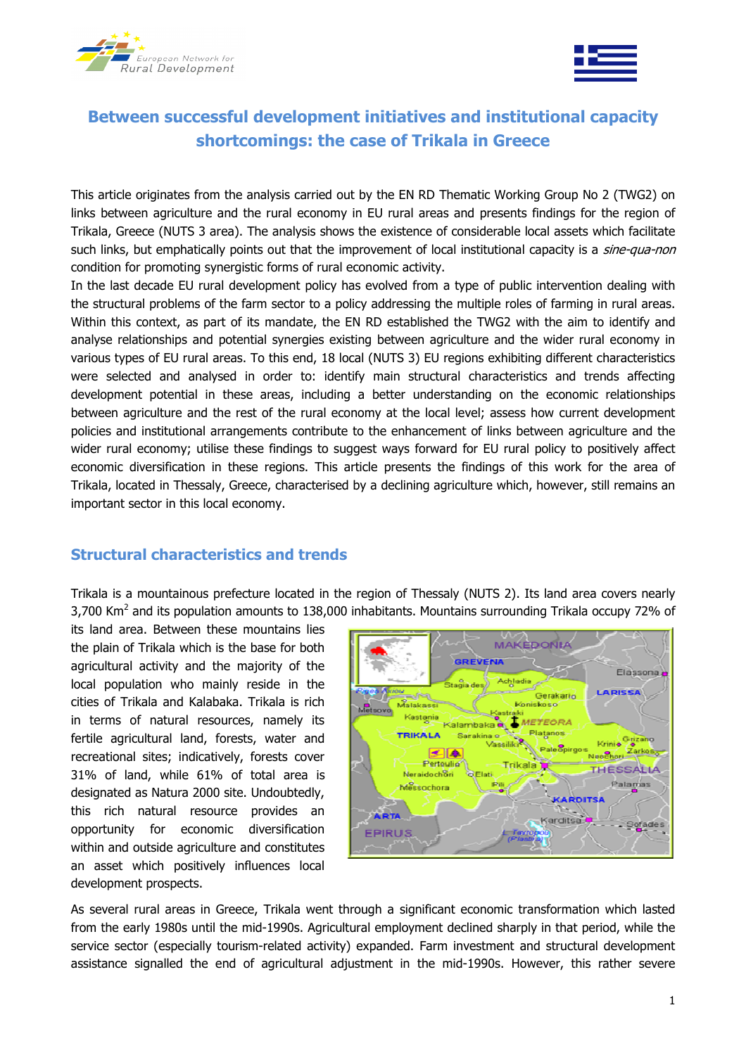



# Between successful development initiatives and institutional capacity shortcomings: the case of Trikala in Greece

This article originates from the analysis carried out by the EN RD Thematic Working Group No 2 (TWG2) on links between agriculture and the rural economy in EU rural areas and presents findings for the region of Trikala, Greece (NUTS 3 area). The analysis shows the existence of considerable local assets which facilitate such links, but emphatically points out that the improvement of local institutional capacity is a *sine-qua-non* condition for promoting synergistic forms of rural economic activity.

In the last decade EU rural development policy has evolved from a type of public intervention dealing with the structural problems of the farm sector to a policy addressing the multiple roles of farming in rural areas. Within this context, as part of its mandate, the EN RD established the TWG2 with the aim to identify and analyse relationships and potential synergies existing between agriculture and the wider rural economy in various types of EU rural areas. To this end, 18 local (NUTS 3) EU regions exhibiting different characteristics were selected and analysed in order to: identify main structural characteristics and trends affecting development potential in these areas, including a better understanding on the economic relationships between agriculture and the rest of the rural economy at the local level; assess how current development policies and institutional arrangements contribute to the enhancement of links between agriculture and the wider rural economy; utilise these findings to suggest ways forward for EU rural policy to positively affect economic diversification in these regions. This article presents the findings of this work for the area of Trikala, located in Thessaly, Greece, characterised by a declining agriculture which, however, still remains an important sector in this local economy.

### Structural characteristics and trends

Trikala is a mountainous prefecture located in the region of Thessaly (NUTS 2). Its land area covers nearly 3,700 Km<sup>2</sup> and its population amounts to 138,000 inhabitants. Mountains surrounding Trikala occupy 72% of

its land area. Between these mountains lies the plain of Trikala which is the base for both agricultural activity and the majority of the local population who mainly reside in the cities of Trikala and Kalabaka. Trikala is rich in terms of natural resources, namely its fertile agricultural land, forests, water and recreational sites; indicatively, forests cover 31% of land, while 61% of total area is designated as Natura 2000 site. Undoubtedly, this rich natural resource provides an opportunity for economic diversification within and outside agriculture and constitutes an asset which positively influences local development prospects.



As several rural areas in Greece, Trikala went through a significant economic transformation which lasted from the early 1980s until the mid-1990s. Agricultural employment declined sharply in that period, while the service sector (especially tourism-related activity) expanded. Farm investment and structural development assistance signalled the end of agricultural adjustment in the mid-1990s. However, this rather severe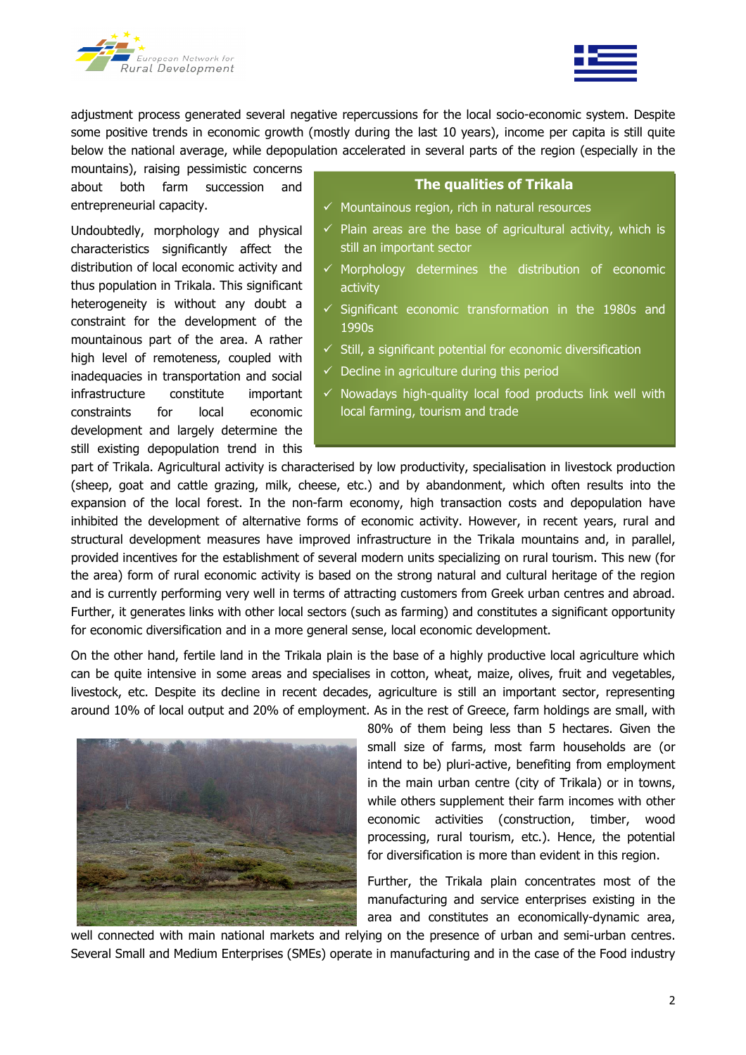



adjustment process generated several negative repercussions for the local socio-economic system. Despite some positive trends in economic growth (mostly during the last 10 years), income per capita is still quite below the national average, while depopulation accelerated in several parts of the region (especially in the

mountains), raising pessimistic concerns about both farm succession and entrepreneurial capacity.

Undoubtedly, morphology and physical characteristics significantly affect the distribution of local economic activity and thus population in Trikala. This significant heterogeneity is without any doubt a constraint for the development of the mountainous part of the area. A rather high level of remoteness, coupled with inadequacies in transportation and social infrastructure constitute important constraints for local economic development and largely determine the still existing depopulation trend in this

### The qualities of Trikala

- $\checkmark$  Mountainous region, rich in natural resources
- $\checkmark$  Plain areas are the base of agricultural activity, which is still an important sector
- $\checkmark$  Morphology determines the distribution of economic activity
- $\checkmark$  Significant economic transformation in the 1980s and 1990s
- $\checkmark$  Still, a significant potential for economic diversification
- $\checkmark$  Decline in agriculture during this period
- $\checkmark$  Nowadays high-quality local food products link well with local farming, tourism and trade

part of Trikala. Agricultural activity is characterised by low productivity, specialisation in livestock production (sheep, goat and cattle grazing, milk, cheese, etc.) and by abandonment, which often results into the expansion of the local forest. In the non-farm economy, high transaction costs and depopulation have inhibited the development of alternative forms of economic activity. However, in recent years, rural and structural development measures have improved infrastructure in the Trikala mountains and, in parallel, provided incentives for the establishment of several modern units specializing on rural tourism. This new (for the area) form of rural economic activity is based on the strong natural and cultural heritage of the region and is currently performing very well in terms of attracting customers from Greek urban centres and abroad. Further, it generates links with other local sectors (such as farming) and constitutes a significant opportunity for economic diversification and in a more general sense, local economic development.

On the other hand, fertile land in the Trikala plain is the base of a highly productive local agriculture which can be quite intensive in some areas and specialises in cotton, wheat, maize, olives, fruit and vegetables, livestock, etc. Despite its decline in recent decades, agriculture is still an important sector, representing around 10% of local output and 20% of employment. As in the rest of Greece, farm holdings are small, with



80% of them being less than 5 hectares. Given the small size of farms, most farm households are (or intend to be) pluri-active, benefiting from employment in the main urban centre (city of Trikala) or in towns, while others supplement their farm incomes with other economic activities (construction, timber, wood processing, rural tourism, etc.). Hence, the potential for diversification is more than evident in this region.

Further, the Trikala plain concentrates most of the manufacturing and service enterprises existing in the area and constitutes an economically-dynamic area,

well connected with main national markets and relying on the presence of urban and semi-urban centres. Several Small and Medium Enterprises (SMEs) operate in manufacturing and in the case of the Food industry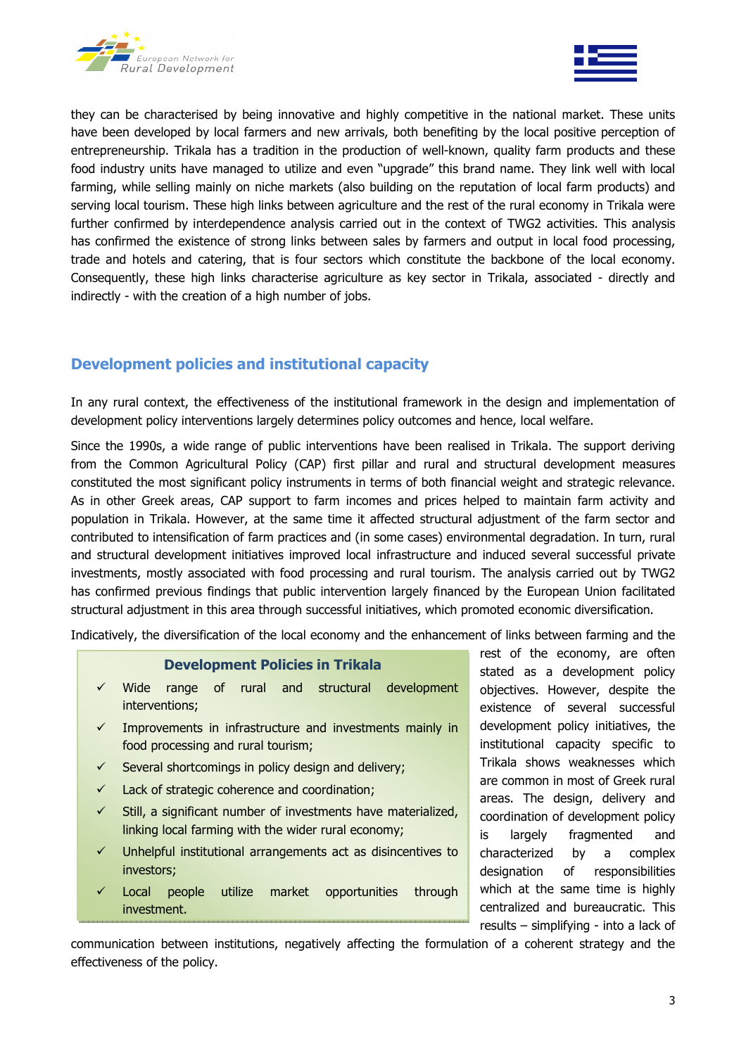



they can be characterised by being innovative and highly competitive in the national market. These units have been developed by local farmers and new arrivals, both benefiting by the local positive perception of entrepreneurship. Trikala has a tradition in the production of well-known, quality farm products and these food industry units have managed to utilize and even "upgrade" this brand name. They link well with local farming, while selling mainly on niche markets (also building on the reputation of local farm products) and serving local tourism. These high links between agriculture and the rest of the rural economy in Trikala were further confirmed by interdependence analysis carried out in the context of TWG2 activities. This analysis has confirmed the existence of strong links between sales by farmers and output in local food processing, trade and hotels and catering, that is four sectors which constitute the backbone of the local economy. Consequently, these high links characterise agriculture as key sector in Trikala, associated - directly and indirectly - with the creation of a high number of jobs.

# Development policies and institutional capacity

In any rural context, the effectiveness of the institutional framework in the design and implementation of development policy interventions largely determines policy outcomes and hence, local welfare.

Since the 1990s, a wide range of public interventions have been realised in Trikala. The support deriving from the Common Agricultural Policy (CAP) first pillar and rural and structural development measures constituted the most significant policy instruments in terms of both financial weight and strategic relevance. As in other Greek areas, CAP support to farm incomes and prices helped to maintain farm activity and population in Trikala. However, at the same time it affected structural adjustment of the farm sector and contributed to intensification of farm practices and (in some cases) environmental degradation. In turn, rural and structural development initiatives improved local infrastructure and induced several successful private investments, mostly associated with food processing and rural tourism. The analysis carried out by TWG2 has confirmed previous findings that public intervention largely financed by the European Union facilitated structural adjustment in this area through successful initiatives, which promoted economic diversification.

Indicatively, the diversification of the local economy and the enhancement of links between farming and the

### Development Policies in Trikala

- $\checkmark$  Wide range of rural and structural development interventions;
- $\checkmark$  Improvements in infrastructure and investments mainly in food processing and rural tourism;
- $\checkmark$  Several shortcomings in policy design and delivery;
- $\checkmark$  Lack of strategic coherence and coordination;
- $\checkmark$  Still, a significant number of investments have materialized, linking local farming with the wider rural economy;
- Unhelpful institutional arrangements act as disincentives to investors;
- Local people utilize market opportunities through investment.

rest of the economy, are often stated as a development policy objectives. However, despite the existence of several successful development policy initiatives, the institutional capacity specific to Trikala shows weaknesses which are common in most of Greek rural areas. The design, delivery and coordination of development policy is largely fragmented and characterized by a complex designation of responsibilities which at the same time is highly centralized and bureaucratic. This results – simplifying - into a lack of

communication between institutions, negatively affecting the formulation of a coherent strategy and the effectiveness of the policy.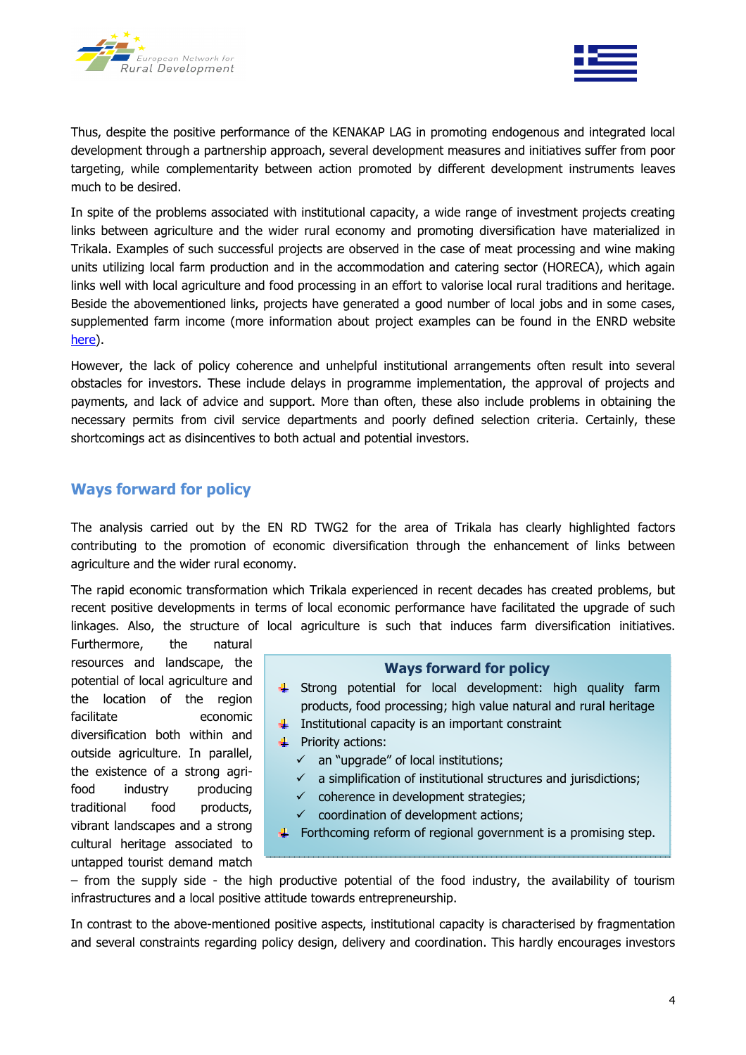

Thus, despite the positive performance of the KENAKAP LAG in promoting endogenous and integrated local development through a partnership approach, several development measures and initiatives suffer from poor targeting, while complementarity between action promoted by different development instruments leaves much to be desired.

In spite of the problems associated with institutional capacity, a wide range of investment projects creating links between agriculture and the wider rural economy and promoting diversification have materialized in Trikala. Examples of such successful projects are observed in the case of meat processing and wine making units utilizing local farm production and in the accommodation and catering sector (HORECA), which again links well with local agriculture and food processing in an effort to valorise local rural traditions and heritage. Beside the abovementioned links, projects have generated a good number of local jobs and in some cases, supplemented farm income (more information about project examples can be found in the ENRD website here).

However, the lack of policy coherence and unhelpful institutional arrangements often result into several obstacles for investors. These include delays in programme implementation, the approval of projects and payments, and lack of advice and support. More than often, these also include problems in obtaining the necessary permits from civil service departments and poorly defined selection criteria. Certainly, these shortcomings act as disincentives to both actual and potential investors.

## Ways forward for policy

The analysis carried out by the EN RD TWG2 for the area of Trikala has clearly highlighted factors contributing to the promotion of economic diversification through the enhancement of links between agriculture and the wider rural economy.

The rapid economic transformation which Trikala experienced in recent decades has created problems, but recent positive developments in terms of local economic performance have facilitated the upgrade of such linkages. Also, the structure of local agriculture is such that induces farm diversification initiatives.

Furthermore, the natural resources and landscape, the potential of local agriculture and the location of the region facilitate economic diversification both within and outside agriculture. In parallel, the existence of a strong agrifood industry producing traditional food products, vibrant landscapes and a strong cultural heritage associated to untapped tourist demand match

#### Ways forward for policy

- $\frac{1}{2}$  Strong potential for local development: high quality farm products, food processing; high value natural and rural heritage
- $\ddot{\phantom{1}}$  Institutional capacity is an important constraint
- $\triangleq$  Priority actions:
	- $\checkmark$  an "upgrade" of local institutions;
	- $\checkmark$  a simplification of institutional structures and jurisdictions;
	- $\checkmark$  coherence in development strategies;
	- $\checkmark$  coordination of development actions;
- Forthcoming reform of regional government is a promising step.

– from the supply side - the high productive potential of the food industry, the availability of tourism infrastructures and a local positive attitude towards entrepreneurship.

In contrast to the above-mentioned positive aspects, institutional capacity is characterised by fragmentation and several constraints regarding policy design, delivery and coordination. This hardly encourages investors